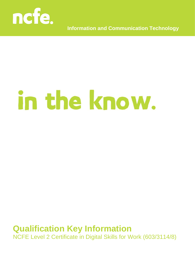

**Information and Communication Technology**

# in the know.

## **Qualification Key Information**

NCFE Level 2 Certificate in Digital Skills for Work (603/3114/8)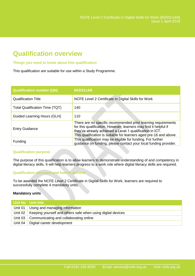### **Qualification overview**

#### **Things you need to know about this qualification**

This qualification are suitable for use within a Study Programme.

| <b>Qualification number (QN)</b>      | 603/3114/8                                                                                                                                                                                                                                                          |
|---------------------------------------|---------------------------------------------------------------------------------------------------------------------------------------------------------------------------------------------------------------------------------------------------------------------|
| <b>Qualification Title</b>            | NCFE Level 2 Certificate in Digital Skills for Work                                                                                                                                                                                                                 |
| <b>Total Qualification Time (TQT)</b> | 140                                                                                                                                                                                                                                                                 |
| <b>Guided Learning Hours (GLH)</b>    | 110                                                                                                                                                                                                                                                                 |
| <b>Entry Guidance</b>                 | There are no specific recommended prior learning requirements<br>for this qualification. However, learners may find it helpful if<br>they've already achieved a Level 1 qualification in ICT.<br>This qualification is suitable for learners aged pre-16 and above. |
| Funding                               | This qualification may be eligible for funding. For further<br>guidance on funding, please contact your local funding provider.                                                                                                                                     |

#### **Qualification purpose**

The purpose of this qualification is to allow learners to demonstrate understanding of and competency in digital literacy skills. It will help learners progress to a work role where digital literacy skills are required.

#### **Qualification structure and how to achieve**

To be awarded the NCFE Level 2 Certificate in Digital Skills for Work, learners are required to successfully complete 4 mandatory units.

#### **Mandatory units**

| Unit No Unit title                                                    |
|-----------------------------------------------------------------------|
| Unit 01 Using and managing information                                |
| Unit 02   Keeping yourself and others safe when using digital devices |
| Unit 03 Communicating and collaborating online                        |
| Unit 04   Digital career development                                  |